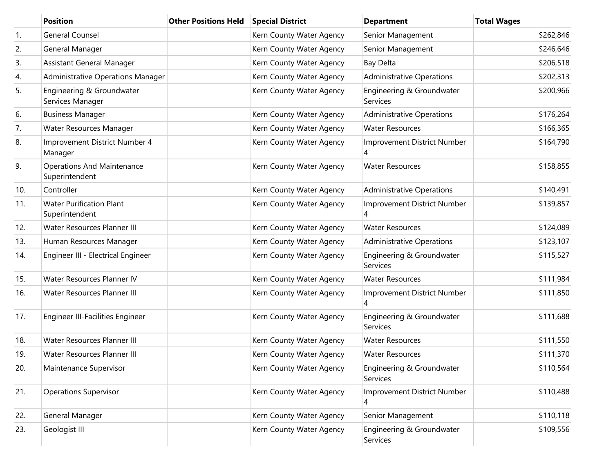|     | <b>Position</b>                                     | <b>Other Positions Held</b> | <b>Special District</b>  | <b>Department</b>                     | <b>Total Wages</b> |
|-----|-----------------------------------------------------|-----------------------------|--------------------------|---------------------------------------|--------------------|
| 1.  | <b>General Counsel</b>                              |                             | Kern County Water Agency | Senior Management                     | \$262,846          |
| 2.  | General Manager                                     |                             | Kern County Water Agency | Senior Management                     | \$246,646          |
| 3.  | Assistant General Manager                           |                             | Kern County Water Agency | <b>Bay Delta</b>                      | \$206,518          |
| 4.  | Administrative Operations Manager                   |                             | Kern County Water Agency | <b>Administrative Operations</b>      | \$202,313          |
| 5.  | Engineering & Groundwater<br>Services Manager       |                             | Kern County Water Agency | Engineering & Groundwater<br>Services | \$200,966          |
| 6.  | <b>Business Manager</b>                             |                             | Kern County Water Agency | <b>Administrative Operations</b>      | \$176,264          |
| 7.  | Water Resources Manager                             |                             | Kern County Water Agency | <b>Water Resources</b>                | \$166,365          |
| 8.  | Improvement District Number 4<br>Manager            |                             | Kern County Water Agency | Improvement District Number<br>4      | \$164,790          |
| 9.  | <b>Operations And Maintenance</b><br>Superintendent |                             | Kern County Water Agency | <b>Water Resources</b>                | \$158,855          |
| 10. | Controller                                          |                             | Kern County Water Agency | <b>Administrative Operations</b>      | \$140,491          |
| 11. | <b>Water Purification Plant</b><br>Superintendent   |                             | Kern County Water Agency | Improvement District Number<br>4      | \$139,857          |
| 12. | Water Resources Planner III                         |                             | Kern County Water Agency | <b>Water Resources</b>                | \$124,089          |
| 13. | Human Resources Manager                             |                             | Kern County Water Agency | <b>Administrative Operations</b>      | \$123,107          |
| 14. | Engineer III - Electrical Engineer                  |                             | Kern County Water Agency | Engineering & Groundwater<br>Services | \$115,527          |
| 15. | Water Resources Planner IV                          |                             | Kern County Water Agency | <b>Water Resources</b>                | \$111,984          |
| 16. | Water Resources Planner III                         |                             | Kern County Water Agency | Improvement District Number<br>4      | \$111,850          |
| 17. | <b>Engineer III-Facilities Engineer</b>             |                             | Kern County Water Agency | Engineering & Groundwater<br>Services | \$111,688          |
| 18. | Water Resources Planner III                         |                             | Kern County Water Agency | <b>Water Resources</b>                | \$111,550          |
| 19. | Water Resources Planner III                         |                             | Kern County Water Agency | <b>Water Resources</b>                | \$111,370          |
| 20. | Maintenance Supervisor                              |                             | Kern County Water Agency | Engineering & Groundwater<br>Services | \$110,564          |
| 21. | <b>Operations Supervisor</b>                        |                             | Kern County Water Agency | Improvement District Number<br>4      | \$110,488          |
| 22. | General Manager                                     |                             | Kern County Water Agency | Senior Management                     | \$110,118          |
| 23. | Geologist III                                       |                             | Kern County Water Agency | Engineering & Groundwater<br>Services | \$109,556          |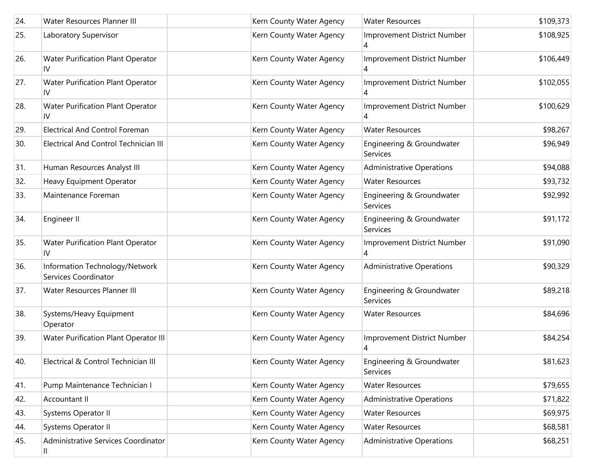| 24. | Water Resources Planner III                            | Kern County Water Agency | <b>Water Resources</b>                | \$109,373 |
|-----|--------------------------------------------------------|--------------------------|---------------------------------------|-----------|
| 25. | Laboratory Supervisor                                  | Kern County Water Agency | Improvement District Number<br>4      | \$108,925 |
| 26. | Water Purification Plant Operator<br>IV                | Kern County Water Agency | Improvement District Number           | \$106,449 |
| 27. | Water Purification Plant Operator<br>IV                | Kern County Water Agency | Improvement District Number           | \$102,055 |
| 28. | Water Purification Plant Operator<br>IV                | Kern County Water Agency | Improvement District Number           | \$100,629 |
| 29. | <b>Electrical And Control Foreman</b>                  | Kern County Water Agency | <b>Water Resources</b>                | \$98,267  |
| 30. | <b>Electrical And Control Technician III</b>           | Kern County Water Agency | Engineering & Groundwater<br>Services | \$96,949  |
| 31. | Human Resources Analyst III                            | Kern County Water Agency | <b>Administrative Operations</b>      | \$94,088  |
| 32. | <b>Heavy Equipment Operator</b>                        | Kern County Water Agency | <b>Water Resources</b>                | \$93,732  |
| 33. | Maintenance Foreman                                    | Kern County Water Agency | Engineering & Groundwater<br>Services | \$92,992  |
| 34. | Engineer II                                            | Kern County Water Agency | Engineering & Groundwater<br>Services | \$91,172  |
| 35. | Water Purification Plant Operator<br>IV                | Kern County Water Agency | Improvement District Number<br>4      | \$91,090  |
| 36. | Information Technology/Network<br>Services Coordinator | Kern County Water Agency | <b>Administrative Operations</b>      | \$90,329  |
| 37. | Water Resources Planner III                            | Kern County Water Agency | Engineering & Groundwater<br>Services | \$89,218  |
| 38. | Systems/Heavy Equipment<br>Operator                    | Kern County Water Agency | <b>Water Resources</b>                | \$84,696  |
| 39. | Water Purification Plant Operator III                  | Kern County Water Agency | Improvement District Number           | \$84,254  |
| 40. | Electrical & Control Technician III                    | Kern County Water Agency | Engineering & Groundwater<br>Services | \$81,623  |
| 41. | Pump Maintenance Technician I                          | Kern County Water Agency | <b>Water Resources</b>                | \$79,655  |
| 42. | Accountant II                                          | Kern County Water Agency | <b>Administrative Operations</b>      | \$71,822  |
| 43. | Systems Operator II                                    | Kern County Water Agency | <b>Water Resources</b>                | \$69,975  |
| 44. | Systems Operator II                                    | Kern County Water Agency | <b>Water Resources</b>                | \$68,581  |
| 45. | Administrative Services Coordinator<br>Ш               | Kern County Water Agency | <b>Administrative Operations</b>      | \$68,251  |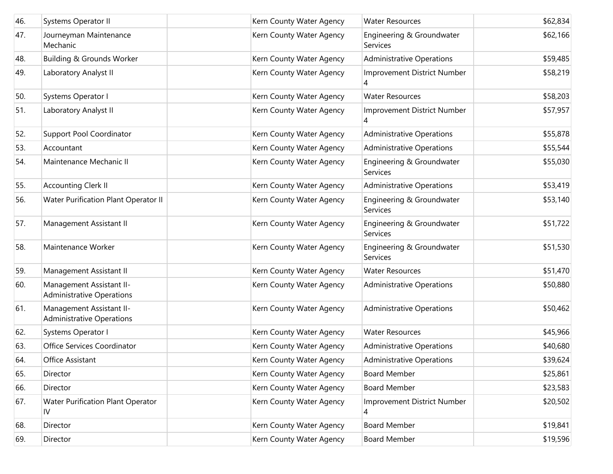| 46. | <b>Systems Operator II</b>                                   | Kern County Water Agency | <b>Water Resources</b>                | \$62,834 |
|-----|--------------------------------------------------------------|--------------------------|---------------------------------------|----------|
| 47. | Journeyman Maintenance<br>Mechanic                           | Kern County Water Agency | Engineering & Groundwater<br>Services | \$62,166 |
| 48. | Building & Grounds Worker                                    | Kern County Water Agency | <b>Administrative Operations</b>      | \$59,485 |
| 49. | Laboratory Analyst II                                        | Kern County Water Agency | Improvement District Number<br>4      | \$58,219 |
| 50. | Systems Operator I                                           | Kern County Water Agency | <b>Water Resources</b>                | \$58,203 |
| 51. | Laboratory Analyst II                                        | Kern County Water Agency | Improvement District Number<br>4      | \$57,957 |
| 52. | Support Pool Coordinator                                     | Kern County Water Agency | <b>Administrative Operations</b>      | \$55,878 |
| 53. | Accountant                                                   | Kern County Water Agency | <b>Administrative Operations</b>      | \$55,544 |
| 54. | Maintenance Mechanic II                                      | Kern County Water Agency | Engineering & Groundwater<br>Services | \$55,030 |
| 55. | <b>Accounting Clerk II</b>                                   | Kern County Water Agency | <b>Administrative Operations</b>      | \$53,419 |
| 56. | Water Purification Plant Operator II                         | Kern County Water Agency | Engineering & Groundwater<br>Services | \$53,140 |
| 57. | Management Assistant II                                      | Kern County Water Agency | Engineering & Groundwater<br>Services | \$51,722 |
| 58. | Maintenance Worker                                           | Kern County Water Agency | Engineering & Groundwater<br>Services | \$51,530 |
| 59. | Management Assistant II                                      | Kern County Water Agency | <b>Water Resources</b>                | \$51,470 |
| 60. | Management Assistant II-<br><b>Administrative Operations</b> | Kern County Water Agency | <b>Administrative Operations</b>      | \$50,880 |
| 61. | Management Assistant II-<br><b>Administrative Operations</b> | Kern County Water Agency | <b>Administrative Operations</b>      | \$50,462 |
| 62. | Systems Operator I                                           | Kern County Water Agency | <b>Water Resources</b>                | \$45,966 |
| 63. | Office Services Coordinator                                  | Kern County Water Agency | <b>Administrative Operations</b>      | \$40,680 |
| 64. | Office Assistant                                             | Kern County Water Agency | <b>Administrative Operations</b>      | \$39,624 |
| 65. | Director                                                     | Kern County Water Agency | <b>Board Member</b>                   | \$25,861 |
| 66. | Director                                                     | Kern County Water Agency | <b>Board Member</b>                   | \$23,583 |
| 67. | Water Purification Plant Operator<br>IV                      | Kern County Water Agency | Improvement District Number<br>4      | \$20,502 |
| 68. | Director                                                     | Kern County Water Agency | <b>Board Member</b>                   | \$19,841 |
| 69. | Director                                                     | Kern County Water Agency | <b>Board Member</b>                   | \$19,596 |